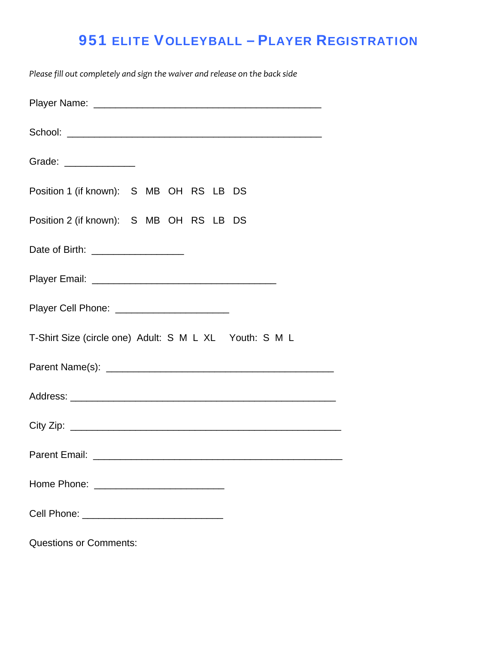## 951 ELITE VOLLEYBALL – PLAYER REGISTRATION

*Please fill out completely and sign the waiver and release on the back side*

| Grade: ______________                                  |
|--------------------------------------------------------|
| Position 1 (if known): S MB OH RS LB DS                |
| Position 2 (if known): S MB OH RS LB DS                |
| Date of Birth: ____________________                    |
|                                                        |
| Player Cell Phone: ________________________            |
| T-Shirt Size (circle one) Adult: S M L XL Youth: S M L |
|                                                        |
|                                                        |
|                                                        |
| Parent Email:                                          |
|                                                        |
|                                                        |
|                                                        |

Questions or Comments: